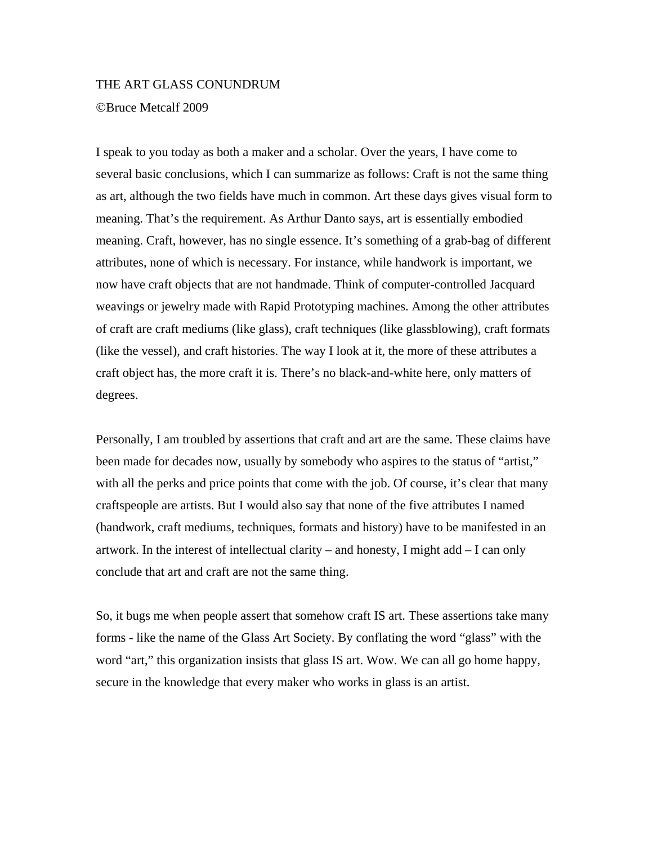#### THE ART GLASS CONUNDRUM

Bruce Metcalf 2009

I speak to you today as both a maker and a scholar. Over the years, I have come to several basic conclusions, which I can summarize as follows: Craft is not the same thing as art, although the two fields have much in common. Art these days gives visual form to meaning. That's the requirement. As Arthur Danto says, art is essentially embodied meaning. Craft, however, has no single essence. It's something of a grab-bag of different attributes, none of which is necessary. For instance, while handwork is important, we now have craft objects that are not handmade. Think of computer-controlled Jacquard weavings or jewelry made with Rapid Prototyping machines. Among the other attributes of craft are craft mediums (like glass), craft techniques (like glassblowing), craft formats (like the vessel), and craft histories. The way I look at it, the more of these attributes a craft object has, the more craft it is. There's no black-and-white here, only matters of degrees.

Personally, I am troubled by assertions that craft and art are the same. These claims have been made for decades now, usually by somebody who aspires to the status of "artist," with all the perks and price points that come with the job. Of course, it's clear that many craftspeople are artists. But I would also say that none of the five attributes I named (handwork, craft mediums, techniques, formats and history) have to be manifested in an artwork. In the interest of intellectual clarity – and honesty, I might add  $-$  I can only conclude that art and craft are not the same thing.

So, it bugs me when people assert that somehow craft IS art. These assertions take many forms - like the name of the Glass Art Society. By conflating the word "glass" with the word "art," this organization insists that glass IS art. Wow. We can all go home happy, secure in the knowledge that every maker who works in glass is an artist.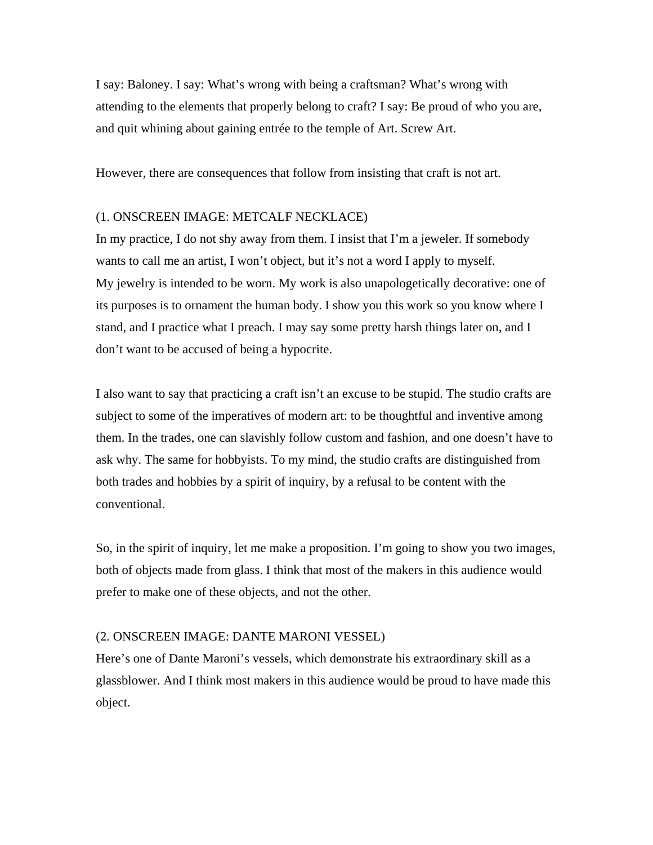I say: Baloney. I say: What's wrong with being a craftsman? What's wrong with attending to the elements that properly belong to craft? I say: Be proud of who you are, and quit whining about gaining entrée to the temple of Art. Screw Art.

However, there are consequences that follow from insisting that craft is not art.

# (1. ONSCREEN IMAGE: METCALF NECKLACE)

In my practice, I do not shy away from them. I insist that I'm a jeweler. If somebody wants to call me an artist, I won't object, but it's not a word I apply to myself. My jewelry is intended to be worn. My work is also unapologetically decorative: one of its purposes is to ornament the human body. I show you this work so you know where I stand, and I practice what I preach. I may say some pretty harsh things later on, and I don't want to be accused of being a hypocrite.

I also want to say that practicing a craft isn't an excuse to be stupid. The studio crafts are subject to some of the imperatives of modern art: to be thoughtful and inventive among them. In the trades, one can slavishly follow custom and fashion, and one doesn't have to ask why. The same for hobbyists. To my mind, the studio crafts are distinguished from both trades and hobbies by a spirit of inquiry, by a refusal to be content with the conventional.

So, in the spirit of inquiry, let me make a proposition. I'm going to show you two images, both of objects made from glass. I think that most of the makers in this audience would prefer to make one of these objects, and not the other.

#### (2. ONSCREEN IMAGE: DANTE MARONI VESSEL)

Here's one of Dante Maroni's vessels, which demonstrate his extraordinary skill as a glassblower. And I think most makers in this audience would be proud to have made this object.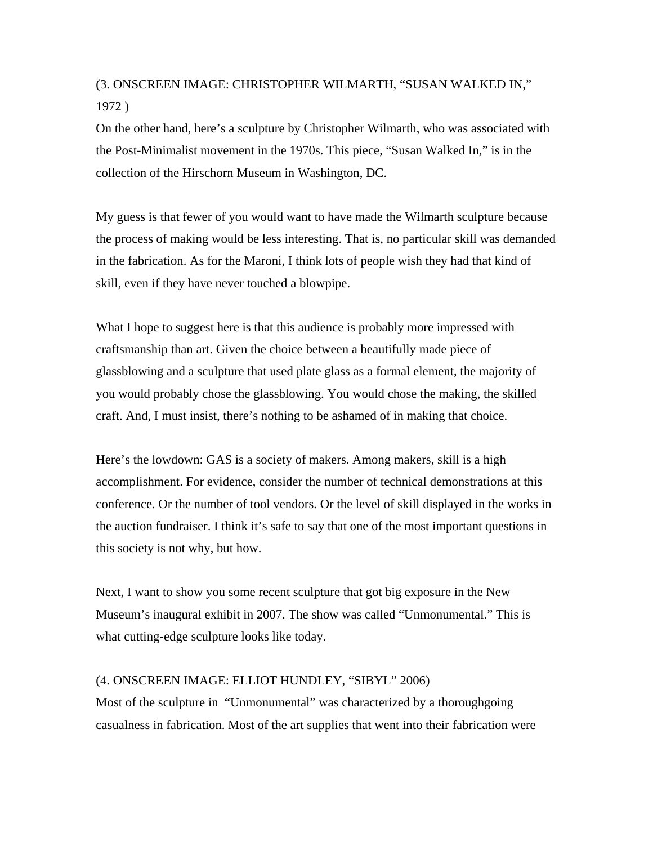# (3. ONSCREEN IMAGE: CHRISTOPHER WILMARTH, "SUSAN WALKED IN," 1972 )

On the other hand, here's a sculpture by Christopher Wilmarth, who was associated with the Post-Minimalist movement in the 1970s. This piece, "Susan Walked In," is in the collection of the Hirschorn Museum in Washington, DC.

My guess is that fewer of you would want to have made the Wilmarth sculpture because the process of making would be less interesting. That is, no particular skill was demanded in the fabrication. As for the Maroni, I think lots of people wish they had that kind of skill, even if they have never touched a blowpipe.

What I hope to suggest here is that this audience is probably more impressed with craftsmanship than art. Given the choice between a beautifully made piece of glassblowing and a sculpture that used plate glass as a formal element, the majority of you would probably chose the glassblowing. You would chose the making, the skilled craft. And, I must insist, there's nothing to be ashamed of in making that choice.

Here's the lowdown: GAS is a society of makers. Among makers, skill is a high accomplishment. For evidence, consider the number of technical demonstrations at this conference. Or the number of tool vendors. Or the level of skill displayed in the works in the auction fundraiser. I think it's safe to say that one of the most important questions in this society is not why, but how.

Next, I want to show you some recent sculpture that got big exposure in the New Museum's inaugural exhibit in 2007. The show was called "Unmonumental." This is what cutting-edge sculpture looks like today.

# (4. ONSCREEN IMAGE: ELLIOT HUNDLEY, "SIBYL" 2006)

Most of the sculpture in "Unmonumental" was characterized by a thoroughgoing casualness in fabrication. Most of the art supplies that went into their fabrication were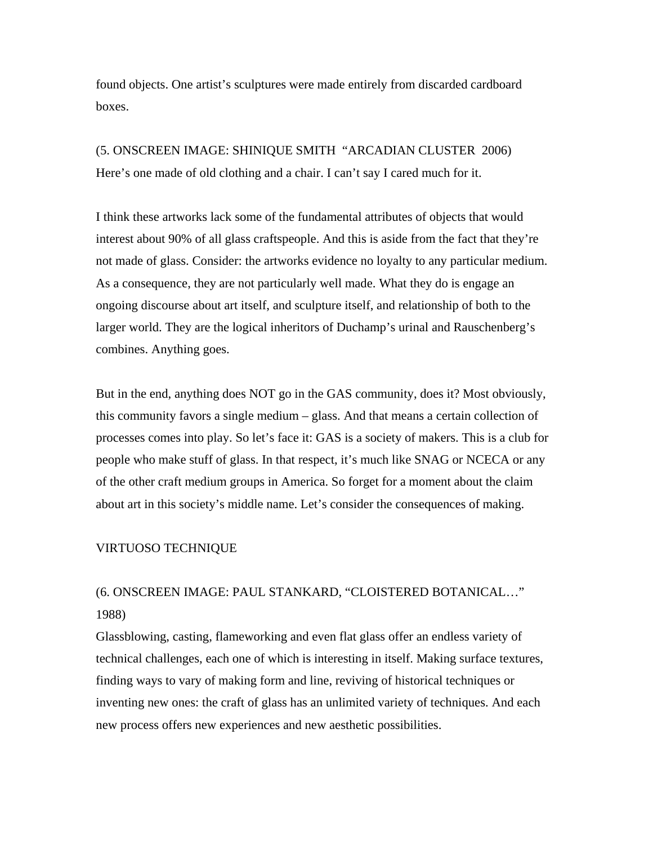found objects. One artist's sculptures were made entirely from discarded cardboard boxes.

(5. ONSCREEN IMAGE: SHINIQUE SMITH "ARCADIAN CLUSTER 2006) Here's one made of old clothing and a chair. I can't say I cared much for it.

I think these artworks lack some of the fundamental attributes of objects that would interest about 90% of all glass craftspeople. And this is aside from the fact that they're not made of glass. Consider: the artworks evidence no loyalty to any particular medium. As a consequence, they are not particularly well made. What they do is engage an ongoing discourse about art itself, and sculpture itself, and relationship of both to the larger world. They are the logical inheritors of Duchamp's urinal and Rauschenberg's combines. Anything goes.

But in the end, anything does NOT go in the GAS community, does it? Most obviously, this community favors a single medium – glass. And that means a certain collection of processes comes into play. So let's face it: GAS is a society of makers. This is a club for people who make stuff of glass. In that respect, it's much like SNAG or NCECA or any of the other craft medium groups in America. So forget for a moment about the claim about art in this society's middle name. Let's consider the consequences of making.

# VIRTUOSO TECHNIQUE

# (6. ONSCREEN IMAGE: PAUL STANKARD, "CLOISTERED BOTANICAL…" 1988)

Glassblowing, casting, flameworking and even flat glass offer an endless variety of technical challenges, each one of which is interesting in itself. Making surface textures, finding ways to vary of making form and line, reviving of historical techniques or inventing new ones: the craft of glass has an unlimited variety of techniques. And each new process offers new experiences and new aesthetic possibilities.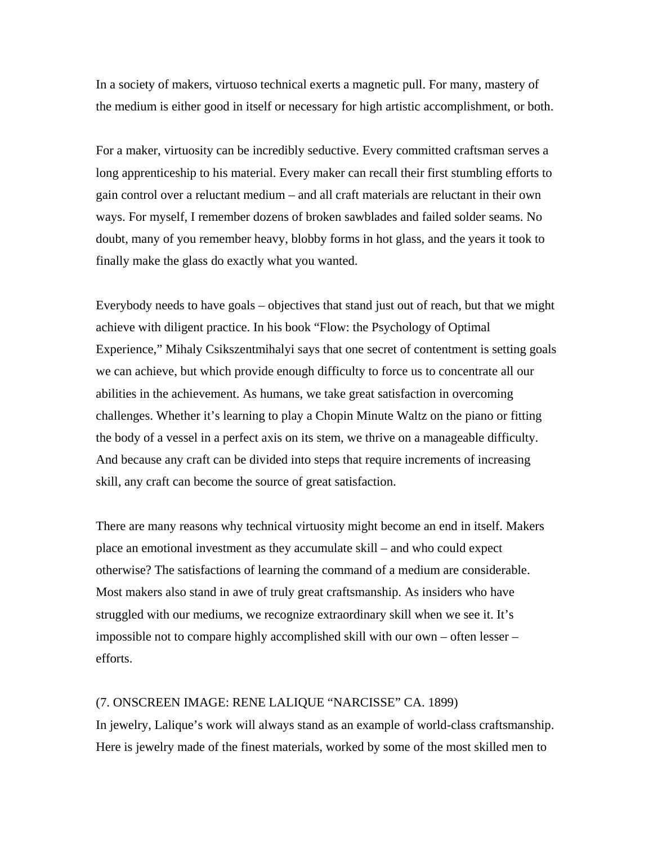In a society of makers, virtuoso technical exerts a magnetic pull. For many, mastery of the medium is either good in itself or necessary for high artistic accomplishment, or both.

For a maker, virtuosity can be incredibly seductive. Every committed craftsman serves a long apprenticeship to his material. Every maker can recall their first stumbling efforts to gain control over a reluctant medium – and all craft materials are reluctant in their own ways. For myself, I remember dozens of broken sawblades and failed solder seams. No doubt, many of you remember heavy, blobby forms in hot glass, and the years it took to finally make the glass do exactly what you wanted.

Everybody needs to have goals – objectives that stand just out of reach, but that we might achieve with diligent practice. In his book "Flow: the Psychology of Optimal Experience," Mihaly Csikszentmihalyi says that one secret of contentment is setting goals we can achieve, but which provide enough difficulty to force us to concentrate all our abilities in the achievement. As humans, we take great satisfaction in overcoming challenges. Whether it's learning to play a Chopin Minute Waltz on the piano or fitting the body of a vessel in a perfect axis on its stem, we thrive on a manageable difficulty. And because any craft can be divided into steps that require increments of increasing skill, any craft can become the source of great satisfaction.

There are many reasons why technical virtuosity might become an end in itself. Makers place an emotional investment as they accumulate skill – and who could expect otherwise? The satisfactions of learning the command of a medium are considerable. Most makers also stand in awe of truly great craftsmanship. As insiders who have struggled with our mediums, we recognize extraordinary skill when we see it. It's impossible not to compare highly accomplished skill with our own – often lesser – efforts.

# (7. ONSCREEN IMAGE: RENE LALIQUE "NARCISSE" CA. 1899)

In jewelry, Lalique's work will always stand as an example of world-class craftsmanship. Here is jewelry made of the finest materials, worked by some of the most skilled men to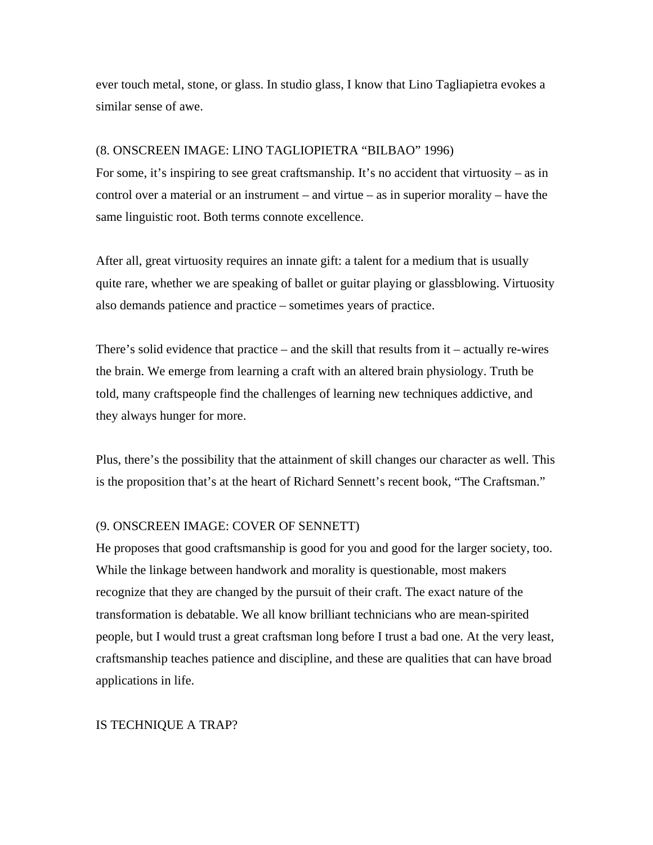ever touch metal, stone, or glass. In studio glass, I know that Lino Tagliapietra evokes a similar sense of awe.

# (8. ONSCREEN IMAGE: LINO TAGLIOPIETRA "BILBAO" 1996)

For some, it's inspiring to see great craftsmanship. It's no accident that virtuosity – as in control over a material or an instrument – and virtue – as in superior morality – have the same linguistic root. Both terms connote excellence.

After all, great virtuosity requires an innate gift: a talent for a medium that is usually quite rare, whether we are speaking of ballet or guitar playing or glassblowing. Virtuosity also demands patience and practice – sometimes years of practice.

There's solid evidence that practice – and the skill that results from it – actually re-wires the brain. We emerge from learning a craft with an altered brain physiology. Truth be told, many craftspeople find the challenges of learning new techniques addictive, and they always hunger for more.

Plus, there's the possibility that the attainment of skill changes our character as well. This is the proposition that's at the heart of Richard Sennett's recent book, "The Craftsman."

# (9. ONSCREEN IMAGE: COVER OF SENNETT)

He proposes that good craftsmanship is good for you and good for the larger society, too. While the linkage between handwork and morality is questionable, most makers recognize that they are changed by the pursuit of their craft. The exact nature of the transformation is debatable. We all know brilliant technicians who are mean-spirited people, but I would trust a great craftsman long before I trust a bad one. At the very least, craftsmanship teaches patience and discipline, and these are qualities that can have broad applications in life.

# IS TECHNIQUE A TRAP?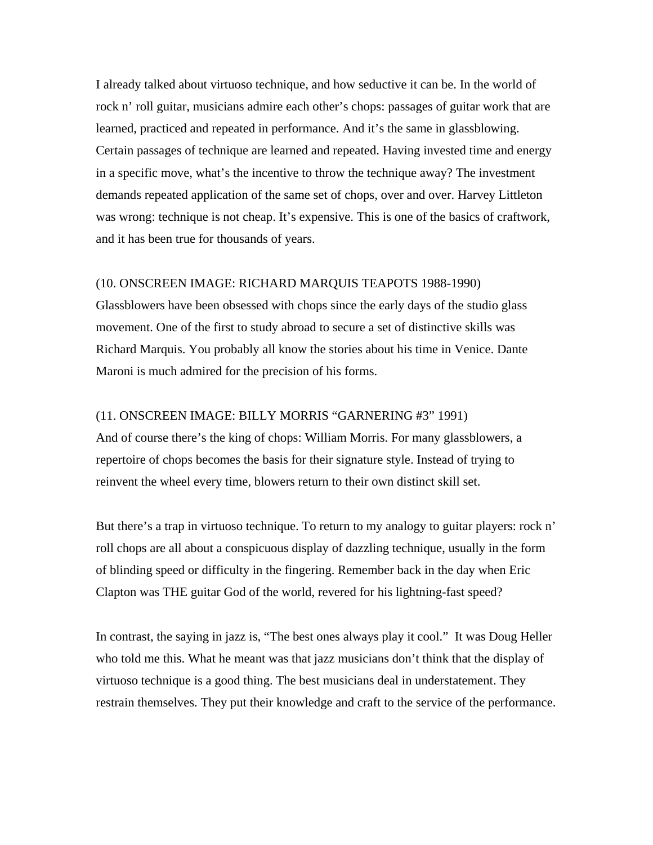I already talked about virtuoso technique, and how seductive it can be. In the world of rock n' roll guitar, musicians admire each other's chops: passages of guitar work that are learned, practiced and repeated in performance. And it's the same in glassblowing. Certain passages of technique are learned and repeated. Having invested time and energy in a specific move, what's the incentive to throw the technique away? The investment demands repeated application of the same set of chops, over and over. Harvey Littleton was wrong: technique is not cheap. It's expensive. This is one of the basics of craftwork, and it has been true for thousands of years.

## (10. ONSCREEN IMAGE: RICHARD MARQUIS TEAPOTS 1988-1990)

Glassblowers have been obsessed with chops since the early days of the studio glass movement. One of the first to study abroad to secure a set of distinctive skills was Richard Marquis. You probably all know the stories about his time in Venice. Dante Maroni is much admired for the precision of his forms.

# (11. ONSCREEN IMAGE: BILLY MORRIS "GARNERING #3" 1991)

And of course there's the king of chops: William Morris. For many glassblowers, a repertoire of chops becomes the basis for their signature style. Instead of trying to reinvent the wheel every time, blowers return to their own distinct skill set.

But there's a trap in virtuoso technique. To return to my analogy to guitar players: rock n' roll chops are all about a conspicuous display of dazzling technique, usually in the form of blinding speed or difficulty in the fingering. Remember back in the day when Eric Clapton was THE guitar God of the world, revered for his lightning-fast speed?

In contrast, the saying in jazz is, "The best ones always play it cool." It was Doug Heller who told me this. What he meant was that jazz musicians don't think that the display of virtuoso technique is a good thing. The best musicians deal in understatement. They restrain themselves. They put their knowledge and craft to the service of the performance.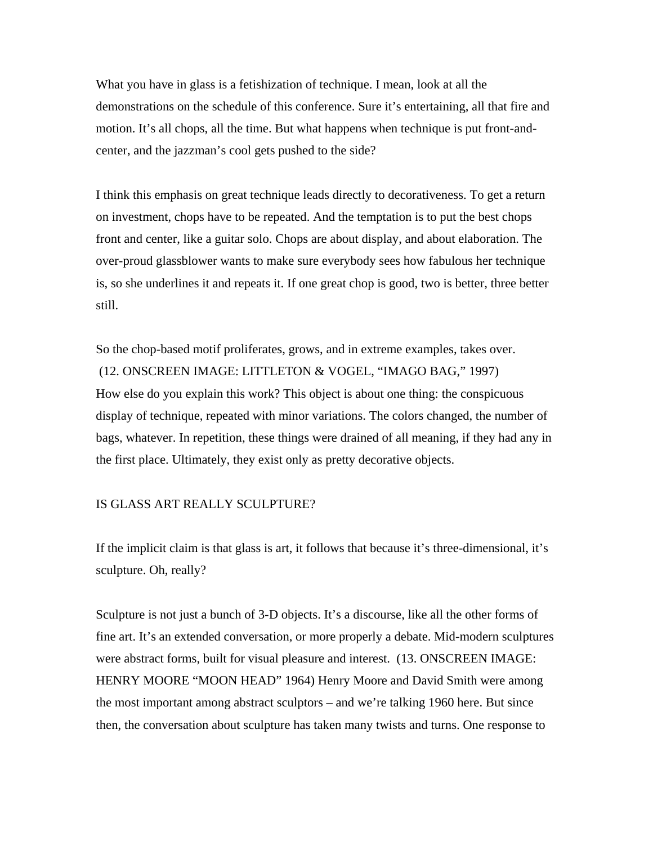What you have in glass is a fetishization of technique. I mean, look at all the demonstrations on the schedule of this conference. Sure it's entertaining, all that fire and motion. It's all chops, all the time. But what happens when technique is put front-andcenter, and the jazzman's cool gets pushed to the side?

I think this emphasis on great technique leads directly to decorativeness. To get a return on investment, chops have to be repeated. And the temptation is to put the best chops front and center, like a guitar solo. Chops are about display, and about elaboration. The over-proud glassblower wants to make sure everybody sees how fabulous her technique is, so she underlines it and repeats it. If one great chop is good, two is better, three better still.

So the chop-based motif proliferates, grows, and in extreme examples, takes over. (12. ONSCREEN IMAGE: LITTLETON & VOGEL, "IMAGO BAG," 1997) How else do you explain this work? This object is about one thing: the conspicuous display of technique, repeated with minor variations. The colors changed, the number of bags, whatever. In repetition, these things were drained of all meaning, if they had any in the first place. Ultimately, they exist only as pretty decorative objects.

# IS GLASS ART REALLY SCULPTURE?

If the implicit claim is that glass is art, it follows that because it's three-dimensional, it's sculpture. Oh, really?

Sculpture is not just a bunch of 3-D objects. It's a discourse, like all the other forms of fine art. It's an extended conversation, or more properly a debate. Mid-modern sculptures were abstract forms, built for visual pleasure and interest. (13. ONSCREEN IMAGE: HENRY MOORE "MOON HEAD" 1964) Henry Moore and David Smith were among the most important among abstract sculptors – and we're talking 1960 here. But since then, the conversation about sculpture has taken many twists and turns. One response to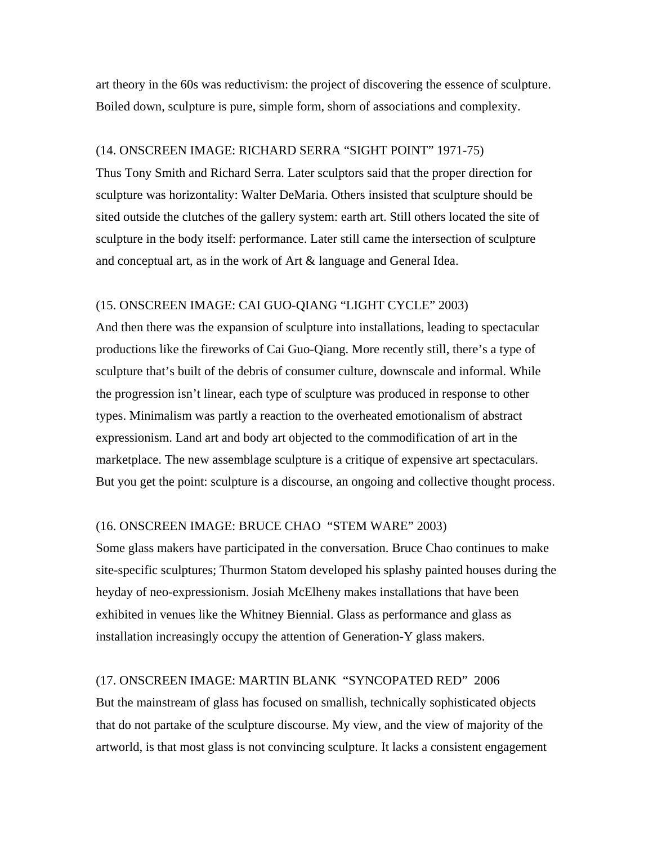art theory in the 60s was reductivism: the project of discovering the essence of sculpture. Boiled down, sculpture is pure, simple form, shorn of associations and complexity.

### (14. ONSCREEN IMAGE: RICHARD SERRA "SIGHT POINT" 1971-75)

Thus Tony Smith and Richard Serra. Later sculptors said that the proper direction for sculpture was horizontality: Walter DeMaria. Others insisted that sculpture should be sited outside the clutches of the gallery system: earth art. Still others located the site of sculpture in the body itself: performance. Later still came the intersection of sculpture and conceptual art, as in the work of Art & language and General Idea.

# (15. ONSCREEN IMAGE: CAI GUO-QIANG "LIGHT CYCLE" 2003)

And then there was the expansion of sculpture into installations, leading to spectacular productions like the fireworks of Cai Guo-Qiang. More recently still, there's a type of sculpture that's built of the debris of consumer culture, downscale and informal. While the progression isn't linear, each type of sculpture was produced in response to other types. Minimalism was partly a reaction to the overheated emotionalism of abstract expressionism. Land art and body art objected to the commodification of art in the marketplace. The new assemblage sculpture is a critique of expensive art spectaculars. But you get the point: sculpture is a discourse, an ongoing and collective thought process.

## (16. ONSCREEN IMAGE: BRUCE CHAO "STEM WARE" 2003)

Some glass makers have participated in the conversation. Bruce Chao continues to make site-specific sculptures; Thurmon Statom developed his splashy painted houses during the heyday of neo-expressionism. Josiah McElheny makes installations that have been exhibited in venues like the Whitney Biennial. Glass as performance and glass as installation increasingly occupy the attention of Generation-Y glass makers.

# (17. ONSCREEN IMAGE: MARTIN BLANK "SYNCOPATED RED" 2006

But the mainstream of glass has focused on smallish, technically sophisticated objects that do not partake of the sculpture discourse. My view, and the view of majority of the artworld, is that most glass is not convincing sculpture. It lacks a consistent engagement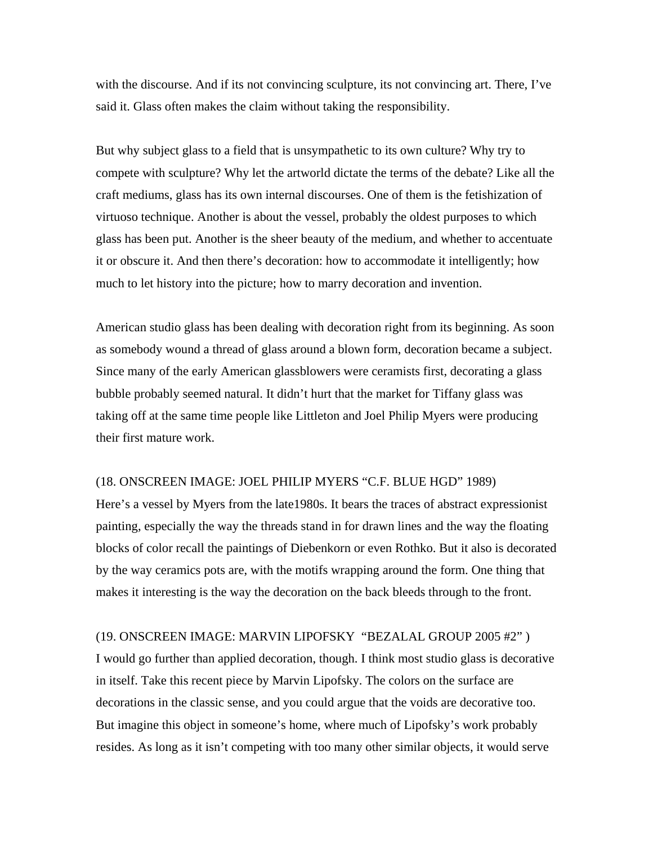with the discourse. And if its not convincing sculpture, its not convincing art. There, I've said it. Glass often makes the claim without taking the responsibility.

But why subject glass to a field that is unsympathetic to its own culture? Why try to compete with sculpture? Why let the artworld dictate the terms of the debate? Like all the craft mediums, glass has its own internal discourses. One of them is the fetishization of virtuoso technique. Another is about the vessel, probably the oldest purposes to which glass has been put. Another is the sheer beauty of the medium, and whether to accentuate it or obscure it. And then there's decoration: how to accommodate it intelligently; how much to let history into the picture; how to marry decoration and invention.

American studio glass has been dealing with decoration right from its beginning. As soon as somebody wound a thread of glass around a blown form, decoration became a subject. Since many of the early American glassblowers were ceramists first, decorating a glass bubble probably seemed natural. It didn't hurt that the market for Tiffany glass was taking off at the same time people like Littleton and Joel Philip Myers were producing their first mature work.

### (18. ONSCREEN IMAGE: JOEL PHILIP MYERS "C.F. BLUE HGD" 1989)

Here's a vessel by Myers from the late1980s. It bears the traces of abstract expressionist painting, especially the way the threads stand in for drawn lines and the way the floating blocks of color recall the paintings of Diebenkorn or even Rothko. But it also is decorated by the way ceramics pots are, with the motifs wrapping around the form. One thing that makes it interesting is the way the decoration on the back bleeds through to the front.

#### (19. ONSCREEN IMAGE: MARVIN LIPOFSKY "BEZALAL GROUP 2005 #2" )

I would go further than applied decoration, though. I think most studio glass is decorative in itself. Take this recent piece by Marvin Lipofsky. The colors on the surface are decorations in the classic sense, and you could argue that the voids are decorative too. But imagine this object in someone's home, where much of Lipofsky's work probably resides. As long as it isn't competing with too many other similar objects, it would serve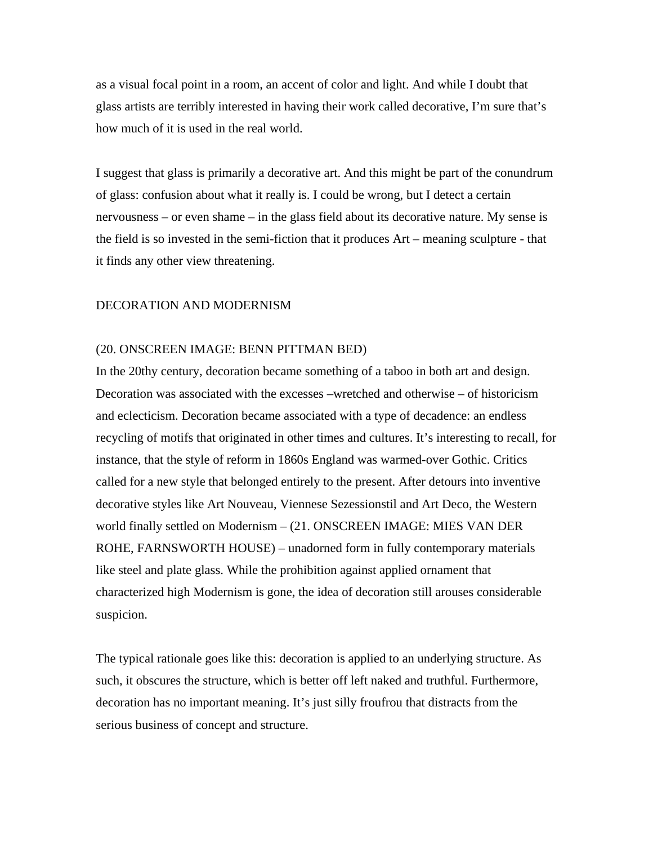as a visual focal point in a room, an accent of color and light. And while I doubt that glass artists are terribly interested in having their work called decorative, I'm sure that's how much of it is used in the real world.

I suggest that glass is primarily a decorative art. And this might be part of the conundrum of glass: confusion about what it really is. I could be wrong, but I detect a certain nervousness – or even shame – in the glass field about its decorative nature. My sense is the field is so invested in the semi-fiction that it produces Art – meaning sculpture - that it finds any other view threatening.

# DECORATION AND MODERNISM

#### (20. ONSCREEN IMAGE: BENN PITTMAN BED)

In the 20thy century, decoration became something of a taboo in both art and design. Decoration was associated with the excesses –wretched and otherwise – of historicism and eclecticism. Decoration became associated with a type of decadence: an endless recycling of motifs that originated in other times and cultures. It's interesting to recall, for instance, that the style of reform in 1860s England was warmed-over Gothic. Critics called for a new style that belonged entirely to the present. After detours into inventive decorative styles like Art Nouveau, Viennese Sezessionstil and Art Deco, the Western world finally settled on Modernism – (21. ONSCREEN IMAGE: MIES VAN DER ROHE, FARNSWORTH HOUSE) – unadorned form in fully contemporary materials like steel and plate glass. While the prohibition against applied ornament that characterized high Modernism is gone, the idea of decoration still arouses considerable suspicion.

The typical rationale goes like this: decoration is applied to an underlying structure. As such, it obscures the structure, which is better off left naked and truthful. Furthermore, decoration has no important meaning. It's just silly froufrou that distracts from the serious business of concept and structure.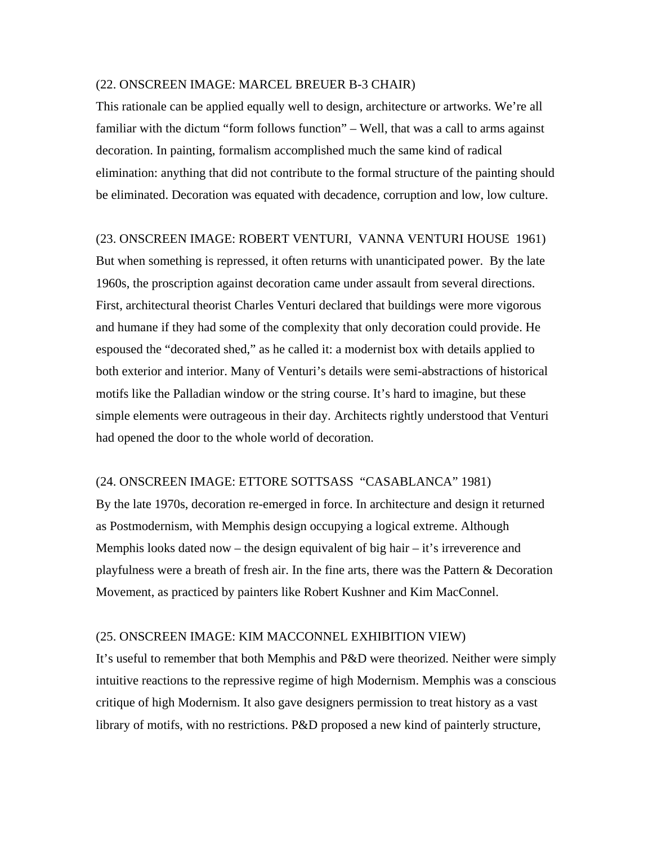#### (22. ONSCREEN IMAGE: MARCEL BREUER B-3 CHAIR)

This rationale can be applied equally well to design, architecture or artworks. We're all familiar with the dictum "form follows function" – Well, that was a call to arms against decoration. In painting, formalism accomplished much the same kind of radical elimination: anything that did not contribute to the formal structure of the painting should be eliminated. Decoration was equated with decadence, corruption and low, low culture.

### (23. ONSCREEN IMAGE: ROBERT VENTURI, VANNA VENTURI HOUSE 1961)

But when something is repressed, it often returns with unanticipated power. By the late 1960s, the proscription against decoration came under assault from several directions. First, architectural theorist Charles Venturi declared that buildings were more vigorous and humane if they had some of the complexity that only decoration could provide. He espoused the "decorated shed," as he called it: a modernist box with details applied to both exterior and interior. Many of Venturi's details were semi-abstractions of historical motifs like the Palladian window or the string course. It's hard to imagine, but these simple elements were outrageous in their day. Architects rightly understood that Venturi had opened the door to the whole world of decoration.

# (24. ONSCREEN IMAGE: ETTORE SOTTSASS "CASABLANCA" 1981)

By the late 1970s, decoration re-emerged in force. In architecture and design it returned as Postmodernism, with Memphis design occupying a logical extreme. Although Memphis looks dated now – the design equivalent of big hair – it's irreverence and playfulness were a breath of fresh air. In the fine arts, there was the Pattern & Decoration Movement, as practiced by painters like Robert Kushner and Kim MacConnel.

# (25. ONSCREEN IMAGE: KIM MACCONNEL EXHIBITION VIEW)

It's useful to remember that both Memphis and P&D were theorized. Neither were simply intuitive reactions to the repressive regime of high Modernism. Memphis was a conscious critique of high Modernism. It also gave designers permission to treat history as a vast library of motifs, with no restrictions. P&D proposed a new kind of painterly structure,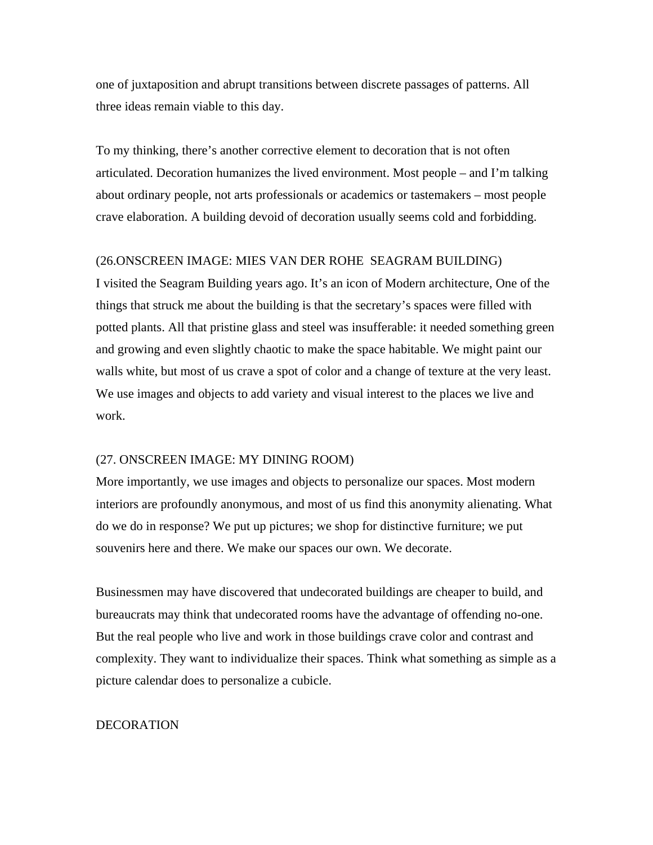one of juxtaposition and abrupt transitions between discrete passages of patterns. All three ideas remain viable to this day.

To my thinking, there's another corrective element to decoration that is not often articulated. Decoration humanizes the lived environment. Most people – and I'm talking about ordinary people, not arts professionals or academics or tastemakers – most people crave elaboration. A building devoid of decoration usually seems cold and forbidding.

# (26.ONSCREEN IMAGE: MIES VAN DER ROHE SEAGRAM BUILDING)

I visited the Seagram Building years ago. It's an icon of Modern architecture, One of the things that struck me about the building is that the secretary's spaces were filled with potted plants. All that pristine glass and steel was insufferable: it needed something green and growing and even slightly chaotic to make the space habitable. We might paint our walls white, but most of us crave a spot of color and a change of texture at the very least. We use images and objects to add variety and visual interest to the places we live and work.

## (27. ONSCREEN IMAGE: MY DINING ROOM)

More importantly, we use images and objects to personalize our spaces. Most modern interiors are profoundly anonymous, and most of us find this anonymity alienating. What do we do in response? We put up pictures; we shop for distinctive furniture; we put souvenirs here and there. We make our spaces our own. We decorate.

Businessmen may have discovered that undecorated buildings are cheaper to build, and bureaucrats may think that undecorated rooms have the advantage of offending no-one. But the real people who live and work in those buildings crave color and contrast and complexity. They want to individualize their spaces. Think what something as simple as a picture calendar does to personalize a cubicle.

## **DECORATION**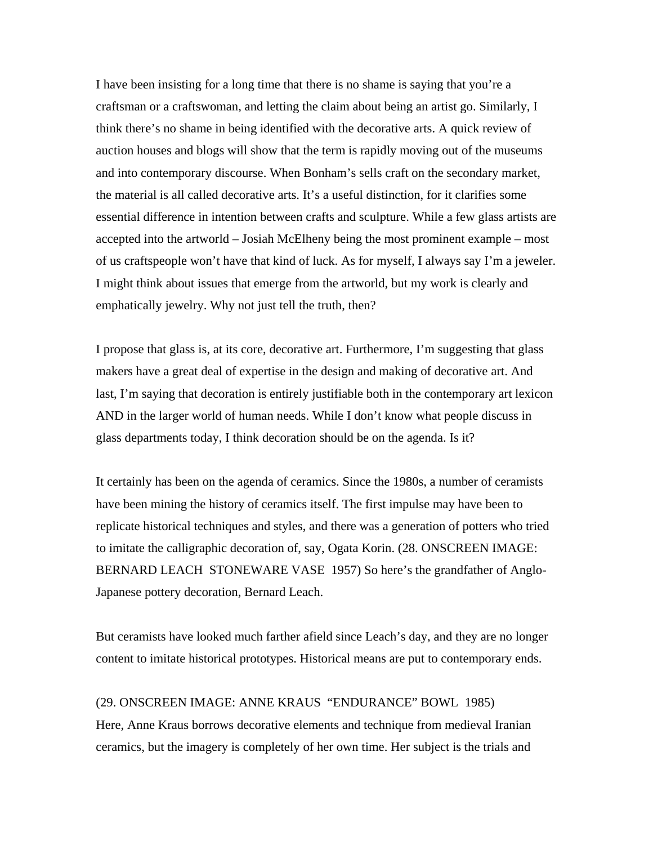I have been insisting for a long time that there is no shame is saying that you're a craftsman or a craftswoman, and letting the claim about being an artist go. Similarly, I think there's no shame in being identified with the decorative arts. A quick review of auction houses and blogs will show that the term is rapidly moving out of the museums and into contemporary discourse. When Bonham's sells craft on the secondary market, the material is all called decorative arts. It's a useful distinction, for it clarifies some essential difference in intention between crafts and sculpture. While a few glass artists are accepted into the artworld – Josiah McElheny being the most prominent example – most of us craftspeople won't have that kind of luck. As for myself, I always say I'm a jeweler. I might think about issues that emerge from the artworld, but my work is clearly and emphatically jewelry. Why not just tell the truth, then?

I propose that glass is, at its core, decorative art. Furthermore, I'm suggesting that glass makers have a great deal of expertise in the design and making of decorative art. And last, I'm saying that decoration is entirely justifiable both in the contemporary art lexicon AND in the larger world of human needs. While I don't know what people discuss in glass departments today, I think decoration should be on the agenda. Is it?

It certainly has been on the agenda of ceramics. Since the 1980s, a number of ceramists have been mining the history of ceramics itself. The first impulse may have been to replicate historical techniques and styles, and there was a generation of potters who tried to imitate the calligraphic decoration of, say, Ogata Korin. (28. ONSCREEN IMAGE: BERNARD LEACH STONEWARE VASE 1957) So here's the grandfather of Anglo-Japanese pottery decoration, Bernard Leach.

But ceramists have looked much farther afield since Leach's day, and they are no longer content to imitate historical prototypes. Historical means are put to contemporary ends.

(29. ONSCREEN IMAGE: ANNE KRAUS "ENDURANCE" BOWL 1985) Here, Anne Kraus borrows decorative elements and technique from medieval Iranian ceramics, but the imagery is completely of her own time. Her subject is the trials and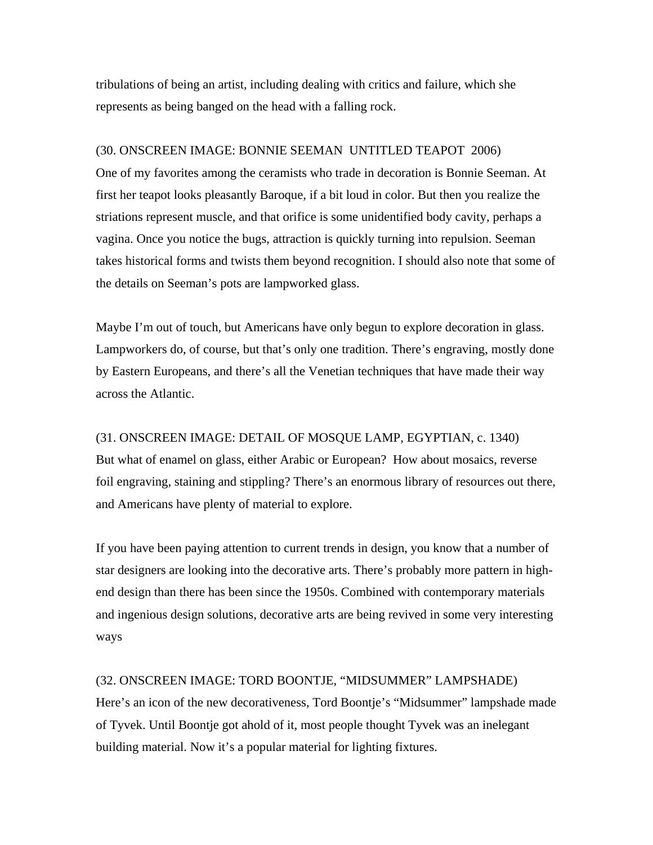tribulations of being an artist, including dealing with critics and failure, which she represents as being banged on the head with a falling rock.

# (30. ONSCREEN IMAGE: BONNIE SEEMAN UNTITLED TEAPOT 2006)

One of my favorites among the ceramists who trade in decoration is Bonnie Seeman. At first her teapot looks pleasantly Baroque, if a bit loud in color. But then you realize the striations represent muscle, and that orifice is some unidentified body cavity, perhaps a vagina. Once you notice the bugs, attraction is quickly turning into repulsion. Seeman takes historical forms and twists them beyond recognition. I should also note that some of the details on Seeman's pots are lampworked glass.

Maybe I'm out of touch, but Americans have only begun to explore decoration in glass. Lampworkers do, of course, but that's only one tradition. There's engraving, mostly done by Eastern Europeans, and there's all the Venetian techniques that have made their way across the Atlantic.

(31. ONSCREEN IMAGE: DETAIL OF MOSQUE LAMP, EGYPTIAN, c. 1340) But what of enamel on glass, either Arabic or European? How about mosaics, reverse foil engraving, staining and stippling? There's an enormous library of resources out there, and Americans have plenty of material to explore.

If you have been paying attention to current trends in design, you know that a number of star designers are looking into the decorative arts. There's probably more pattern in highend design than there has been since the 1950s. Combined with contemporary materials and ingenious design solutions, decorative arts are being revived in some very interesting ways

# (32. ONSCREEN IMAGE: TORD BOONTJE, "MIDSUMMER" LAMPSHADE)

Here's an icon of the new decorativeness, Tord Boontje's "Midsummer" lampshade made of Tyvek. Until Boontje got ahold of it, most people thought Tyvek was an inelegant building material. Now it's a popular material for lighting fixtures.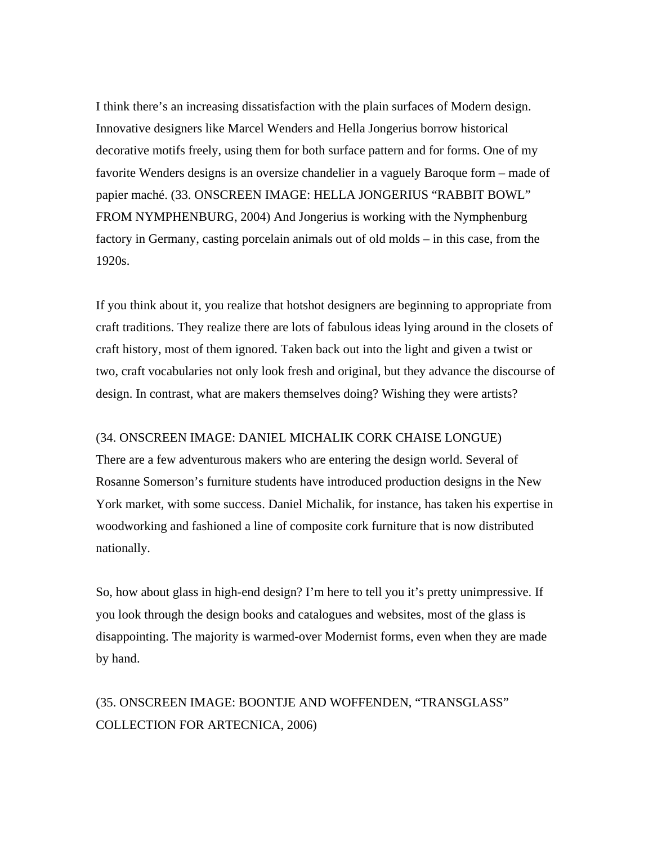I think there's an increasing dissatisfaction with the plain surfaces of Modern design. Innovative designers like Marcel Wenders and Hella Jongerius borrow historical decorative motifs freely, using them for both surface pattern and for forms. One of my favorite Wenders designs is an oversize chandelier in a vaguely Baroque form – made of papier maché. (33. ONSCREEN IMAGE: HELLA JONGERIUS "RABBIT BOWL" FROM NYMPHENBURG, 2004) And Jongerius is working with the Nymphenburg factory in Germany, casting porcelain animals out of old molds – in this case, from the 1920s.

If you think about it, you realize that hotshot designers are beginning to appropriate from craft traditions. They realize there are lots of fabulous ideas lying around in the closets of craft history, most of them ignored. Taken back out into the light and given a twist or two, craft vocabularies not only look fresh and original, but they advance the discourse of design. In contrast, what are makers themselves doing? Wishing they were artists?

# (34. ONSCREEN IMAGE: DANIEL MICHALIK CORK CHAISE LONGUE)

There are a few adventurous makers who are entering the design world. Several of Rosanne Somerson's furniture students have introduced production designs in the New York market, with some success. Daniel Michalik, for instance, has taken his expertise in woodworking and fashioned a line of composite cork furniture that is now distributed nationally.

So, how about glass in high-end design? I'm here to tell you it's pretty unimpressive. If you look through the design books and catalogues and websites, most of the glass is disappointing. The majority is warmed-over Modernist forms, even when they are made by hand.

# (35. ONSCREEN IMAGE: BOONTJE AND WOFFENDEN, "TRANSGLASS" COLLECTION FOR ARTECNICA, 2006)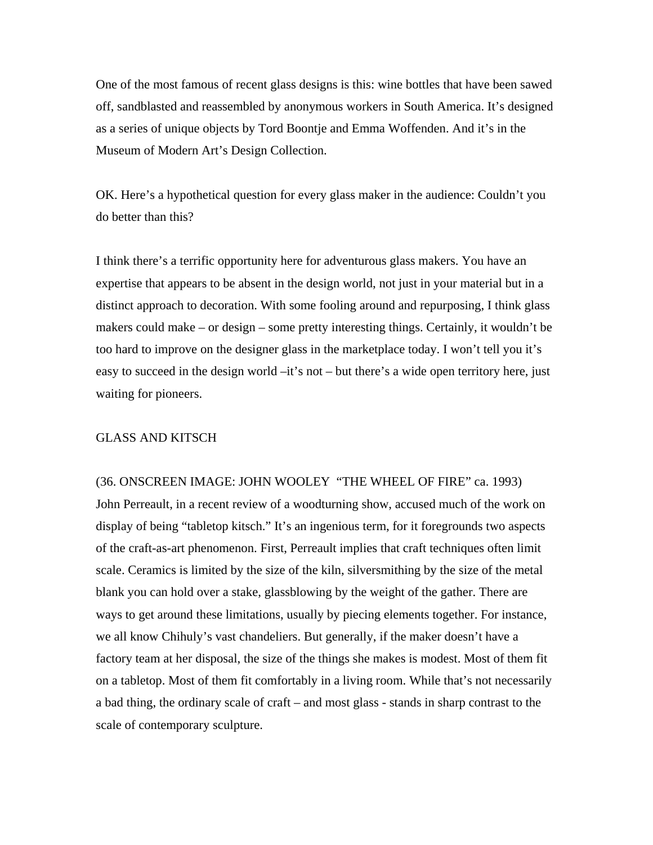One of the most famous of recent glass designs is this: wine bottles that have been sawed off, sandblasted and reassembled by anonymous workers in South America. It's designed as a series of unique objects by Tord Boontje and Emma Woffenden. And it's in the Museum of Modern Art's Design Collection.

OK. Here's a hypothetical question for every glass maker in the audience: Couldn't you do better than this?

I think there's a terrific opportunity here for adventurous glass makers. You have an expertise that appears to be absent in the design world, not just in your material but in a distinct approach to decoration. With some fooling around and repurposing, I think glass makers could make – or design – some pretty interesting things. Certainly, it wouldn't be too hard to improve on the designer glass in the marketplace today. I won't tell you it's easy to succeed in the design world –it's not – but there's a wide open territory here, just waiting for pioneers.

# GLASS AND KITSCH

(36. ONSCREEN IMAGE: JOHN WOOLEY "THE WHEEL OF FIRE" ca. 1993) John Perreault, in a recent review of a woodturning show, accused much of the work on display of being "tabletop kitsch." It's an ingenious term, for it foregrounds two aspects of the craft-as-art phenomenon. First, Perreault implies that craft techniques often limit scale. Ceramics is limited by the size of the kiln, silversmithing by the size of the metal blank you can hold over a stake, glassblowing by the weight of the gather. There are ways to get around these limitations, usually by piecing elements together. For instance, we all know Chihuly's vast chandeliers. But generally, if the maker doesn't have a factory team at her disposal, the size of the things she makes is modest. Most of them fit on a tabletop. Most of them fit comfortably in a living room. While that's not necessarily a bad thing, the ordinary scale of craft – and most glass - stands in sharp contrast to the scale of contemporary sculpture.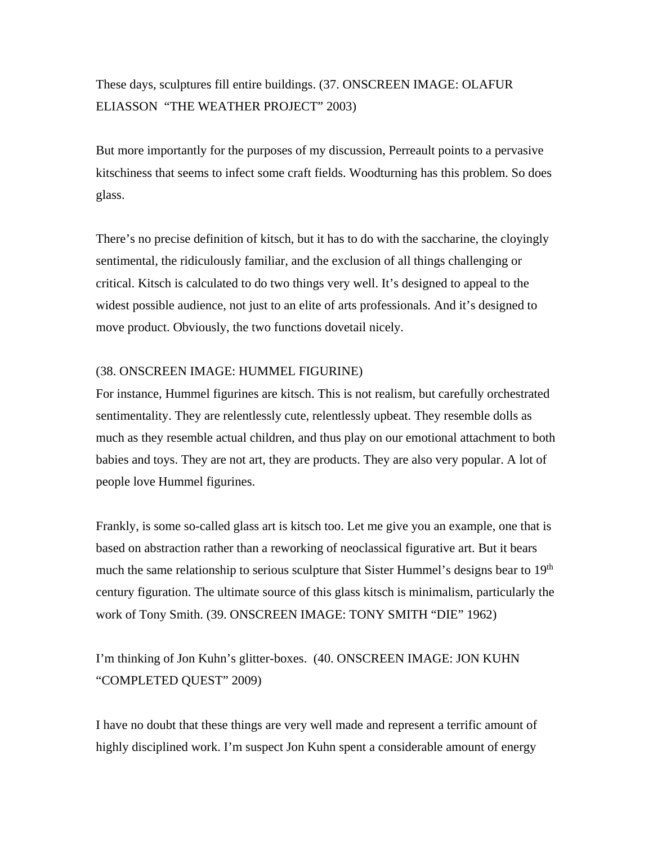# These days, sculptures fill entire buildings. (37. ONSCREEN IMAGE: OLAFUR ELIASSON "THE WEATHER PROJECT" 2003)

But more importantly for the purposes of my discussion, Perreault points to a pervasive kitschiness that seems to infect some craft fields. Woodturning has this problem. So does glass.

There's no precise definition of kitsch, but it has to do with the saccharine, the cloyingly sentimental, the ridiculously familiar, and the exclusion of all things challenging or critical. Kitsch is calculated to do two things very well. It's designed to appeal to the widest possible audience, not just to an elite of arts professionals. And it's designed to move product. Obviously, the two functions dovetail nicely.

# (38. ONSCREEN IMAGE: HUMMEL FIGURINE)

For instance, Hummel figurines are kitsch. This is not realism, but carefully orchestrated sentimentality. They are relentlessly cute, relentlessly upbeat. They resemble dolls as much as they resemble actual children, and thus play on our emotional attachment to both babies and toys. They are not art, they are products. They are also very popular. A lot of people love Hummel figurines.

Frankly, is some so-called glass art is kitsch too. Let me give you an example, one that is based on abstraction rather than a reworking of neoclassical figurative art. But it bears much the same relationship to serious sculpture that Sister Hummel's designs bear to 19<sup>th</sup> century figuration. The ultimate source of this glass kitsch is minimalism, particularly the work of Tony Smith. (39. ONSCREEN IMAGE: TONY SMITH "DIE" 1962)

I'm thinking of Jon Kuhn's glitter-boxes. (40. ONSCREEN IMAGE: JON KUHN "COMPLETED QUEST" 2009)

I have no doubt that these things are very well made and represent a terrific amount of highly disciplined work. I'm suspect Jon Kuhn spent a considerable amount of energy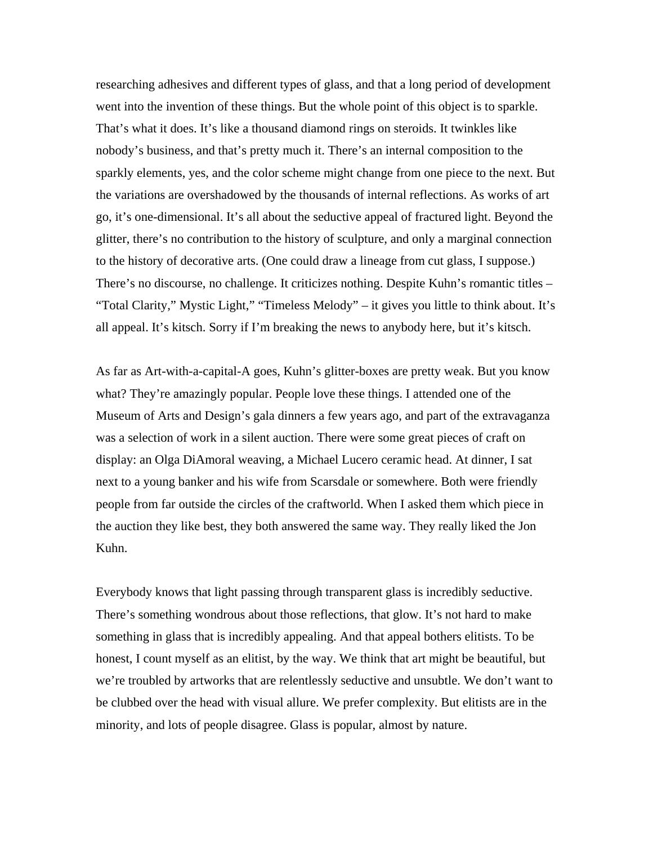researching adhesives and different types of glass, and that a long period of development went into the invention of these things. But the whole point of this object is to sparkle. That's what it does. It's like a thousand diamond rings on steroids. It twinkles like nobody's business, and that's pretty much it. There's an internal composition to the sparkly elements, yes, and the color scheme might change from one piece to the next. But the variations are overshadowed by the thousands of internal reflections. As works of art go, it's one-dimensional. It's all about the seductive appeal of fractured light. Beyond the glitter, there's no contribution to the history of sculpture, and only a marginal connection to the history of decorative arts. (One could draw a lineage from cut glass, I suppose.) There's no discourse, no challenge. It criticizes nothing. Despite Kuhn's romantic titles – "Total Clarity," Mystic Light," "Timeless Melody" – it gives you little to think about. It's all appeal. It's kitsch. Sorry if I'm breaking the news to anybody here, but it's kitsch.

As far as Art-with-a-capital-A goes, Kuhn's glitter-boxes are pretty weak. But you know what? They're amazingly popular. People love these things. I attended one of the Museum of Arts and Design's gala dinners a few years ago, and part of the extravaganza was a selection of work in a silent auction. There were some great pieces of craft on display: an Olga DiAmoral weaving, a Michael Lucero ceramic head. At dinner, I sat next to a young banker and his wife from Scarsdale or somewhere. Both were friendly people from far outside the circles of the craftworld. When I asked them which piece in the auction they like best, they both answered the same way. They really liked the Jon Kuhn.

Everybody knows that light passing through transparent glass is incredibly seductive. There's something wondrous about those reflections, that glow. It's not hard to make something in glass that is incredibly appealing. And that appeal bothers elitists. To be honest, I count myself as an elitist, by the way. We think that art might be beautiful, but we're troubled by artworks that are relentlessly seductive and unsubtle. We don't want to be clubbed over the head with visual allure. We prefer complexity. But elitists are in the minority, and lots of people disagree. Glass is popular, almost by nature.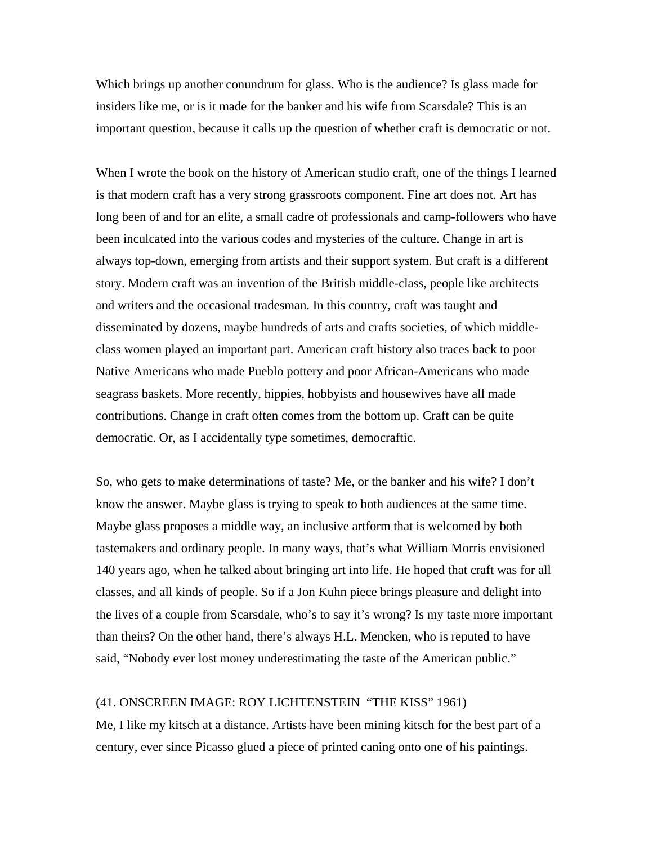Which brings up another conundrum for glass. Who is the audience? Is glass made for insiders like me, or is it made for the banker and his wife from Scarsdale? This is an important question, because it calls up the question of whether craft is democratic or not.

When I wrote the book on the history of American studio craft, one of the things I learned is that modern craft has a very strong grassroots component. Fine art does not. Art has long been of and for an elite, a small cadre of professionals and camp-followers who have been inculcated into the various codes and mysteries of the culture. Change in art is always top-down, emerging from artists and their support system. But craft is a different story. Modern craft was an invention of the British middle-class, people like architects and writers and the occasional tradesman. In this country, craft was taught and disseminated by dozens, maybe hundreds of arts and crafts societies, of which middleclass women played an important part. American craft history also traces back to poor Native Americans who made Pueblo pottery and poor African-Americans who made seagrass baskets. More recently, hippies, hobbyists and housewives have all made contributions. Change in craft often comes from the bottom up. Craft can be quite democratic. Or, as I accidentally type sometimes, democraftic.

So, who gets to make determinations of taste? Me, or the banker and his wife? I don't know the answer. Maybe glass is trying to speak to both audiences at the same time. Maybe glass proposes a middle way, an inclusive artform that is welcomed by both tastemakers and ordinary people. In many ways, that's what William Morris envisioned 140 years ago, when he talked about bringing art into life. He hoped that craft was for all classes, and all kinds of people. So if a Jon Kuhn piece brings pleasure and delight into the lives of a couple from Scarsdale, who's to say it's wrong? Is my taste more important than theirs? On the other hand, there's always H.L. Mencken, who is reputed to have said, "Nobody ever lost money underestimating the taste of the American public."

#### (41. ONSCREEN IMAGE: ROY LICHTENSTEIN "THE KISS" 1961)

Me, I like my kitsch at a distance. Artists have been mining kitsch for the best part of a century, ever since Picasso glued a piece of printed caning onto one of his paintings.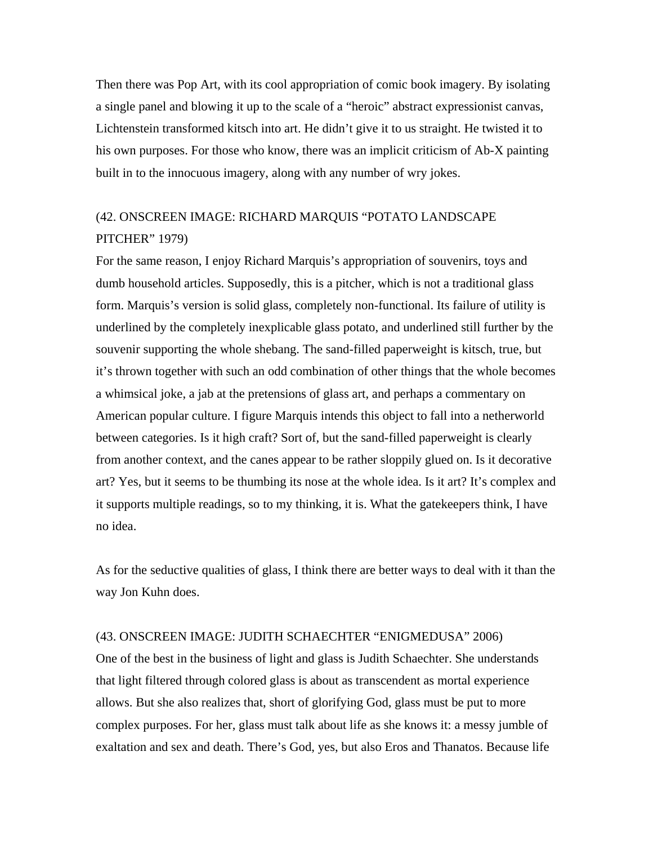Then there was Pop Art, with its cool appropriation of comic book imagery. By isolating a single panel and blowing it up to the scale of a "heroic" abstract expressionist canvas, Lichtenstein transformed kitsch into art. He didn't give it to us straight. He twisted it to his own purposes. For those who know, there was an implicit criticism of Ab-X painting built in to the innocuous imagery, along with any number of wry jokes.

# (42. ONSCREEN IMAGE: RICHARD MARQUIS "POTATO LANDSCAPE PITCHER" 1979)

For the same reason, I enjoy Richard Marquis's appropriation of souvenirs, toys and dumb household articles. Supposedly, this is a pitcher, which is not a traditional glass form. Marquis's version is solid glass, completely non-functional. Its failure of utility is underlined by the completely inexplicable glass potato, and underlined still further by the souvenir supporting the whole shebang. The sand-filled paperweight is kitsch, true, but it's thrown together with such an odd combination of other things that the whole becomes a whimsical joke, a jab at the pretensions of glass art, and perhaps a commentary on American popular culture. I figure Marquis intends this object to fall into a netherworld between categories. Is it high craft? Sort of, but the sand-filled paperweight is clearly from another context, and the canes appear to be rather sloppily glued on. Is it decorative art? Yes, but it seems to be thumbing its nose at the whole idea. Is it art? It's complex and it supports multiple readings, so to my thinking, it is. What the gatekeepers think, I have no idea.

As for the seductive qualities of glass, I think there are better ways to deal with it than the way Jon Kuhn does.

# (43. ONSCREEN IMAGE: JUDITH SCHAECHTER "ENIGMEDUSA" 2006)

One of the best in the business of light and glass is Judith Schaechter. She understands that light filtered through colored glass is about as transcendent as mortal experience allows. But she also realizes that, short of glorifying God, glass must be put to more complex purposes. For her, glass must talk about life as she knows it: a messy jumble of exaltation and sex and death. There's God, yes, but also Eros and Thanatos. Because life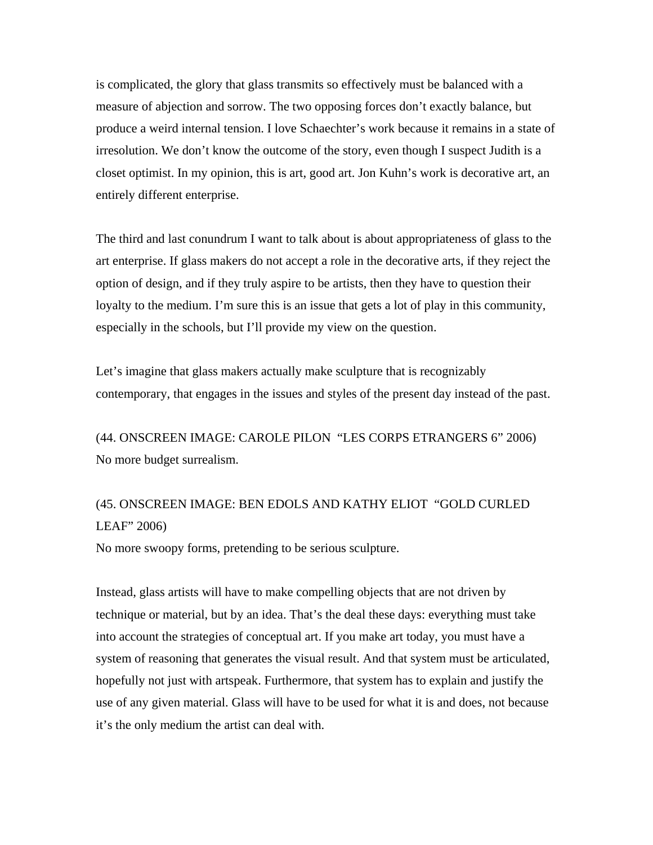is complicated, the glory that glass transmits so effectively must be balanced with a measure of abjection and sorrow. The two opposing forces don't exactly balance, but produce a weird internal tension. I love Schaechter's work because it remains in a state of irresolution. We don't know the outcome of the story, even though I suspect Judith is a closet optimist. In my opinion, this is art, good art. Jon Kuhn's work is decorative art, an entirely different enterprise.

The third and last conundrum I want to talk about is about appropriateness of glass to the art enterprise. If glass makers do not accept a role in the decorative arts, if they reject the option of design, and if they truly aspire to be artists, then they have to question their loyalty to the medium. I'm sure this is an issue that gets a lot of play in this community, especially in the schools, but I'll provide my view on the question.

Let's imagine that glass makers actually make sculpture that is recognizably contemporary, that engages in the issues and styles of the present day instead of the past.

(44. ONSCREEN IMAGE: CAROLE PILON "LES CORPS ETRANGERS 6" 2006) No more budget surrealism.

# (45. ONSCREEN IMAGE: BEN EDOLS AND KATHY ELIOT "GOLD CURLED LEAF" 2006)

No more swoopy forms, pretending to be serious sculpture.

Instead, glass artists will have to make compelling objects that are not driven by technique or material, but by an idea. That's the deal these days: everything must take into account the strategies of conceptual art. If you make art today, you must have a system of reasoning that generates the visual result. And that system must be articulated, hopefully not just with artspeak. Furthermore, that system has to explain and justify the use of any given material. Glass will have to be used for what it is and does, not because it's the only medium the artist can deal with.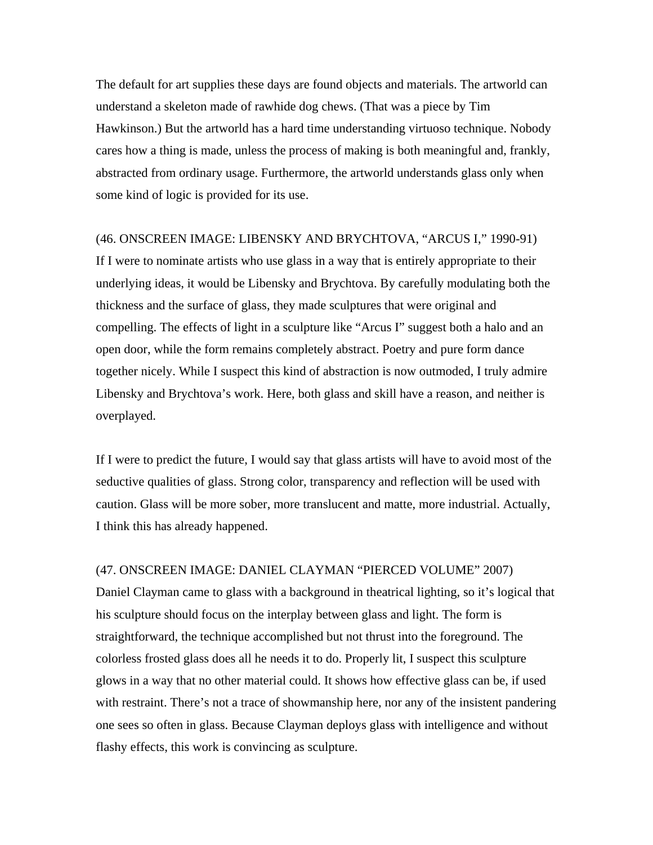The default for art supplies these days are found objects and materials. The artworld can understand a skeleton made of rawhide dog chews. (That was a piece by Tim Hawkinson.) But the artworld has a hard time understanding virtuoso technique. Nobody cares how a thing is made, unless the process of making is both meaningful and, frankly, abstracted from ordinary usage. Furthermore, the artworld understands glass only when some kind of logic is provided for its use.

# (46. ONSCREEN IMAGE: LIBENSKY AND BRYCHTOVA, "ARCUS I," 1990-91)

If I were to nominate artists who use glass in a way that is entirely appropriate to their underlying ideas, it would be Libensky and Brychtova. By carefully modulating both the thickness and the surface of glass, they made sculptures that were original and compelling. The effects of light in a sculpture like "Arcus I" suggest both a halo and an open door, while the form remains completely abstract. Poetry and pure form dance together nicely. While I suspect this kind of abstraction is now outmoded, I truly admire Libensky and Brychtova's work. Here, both glass and skill have a reason, and neither is overplayed.

If I were to predict the future, I would say that glass artists will have to avoid most of the seductive qualities of glass. Strong color, transparency and reflection will be used with caution. Glass will be more sober, more translucent and matte, more industrial. Actually, I think this has already happened.

# (47. ONSCREEN IMAGE: DANIEL CLAYMAN "PIERCED VOLUME" 2007)

Daniel Clayman came to glass with a background in theatrical lighting, so it's logical that his sculpture should focus on the interplay between glass and light. The form is straightforward, the technique accomplished but not thrust into the foreground. The colorless frosted glass does all he needs it to do. Properly lit, I suspect this sculpture glows in a way that no other material could. It shows how effective glass can be, if used with restraint. There's not a trace of showmanship here, nor any of the insistent pandering one sees so often in glass. Because Clayman deploys glass with intelligence and without flashy effects, this work is convincing as sculpture.